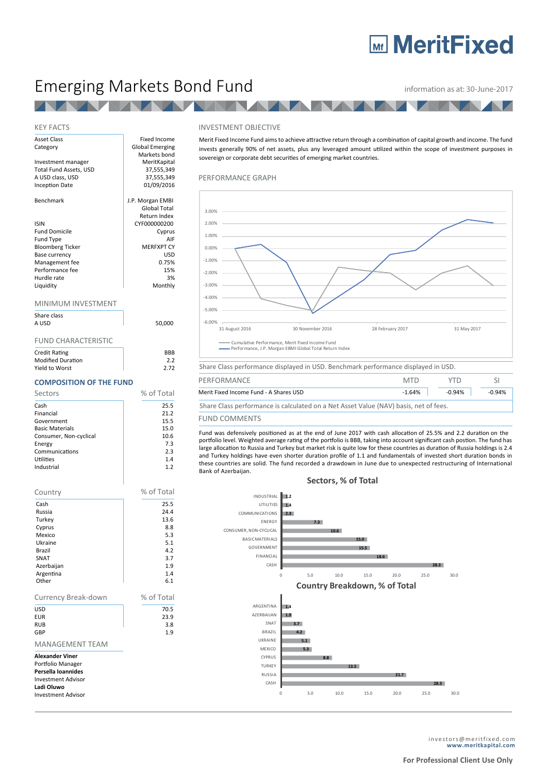# **MaritFixed**

## Emerging Markets Bond Fund **information as at: 30-June-2017**

### **TAN**

#### KEY FACTS

| <b>Asset Class</b>      | Fixed Income           |
|-------------------------|------------------------|
| Category                | <b>Global Emerging</b> |
|                         | Markets bond           |
| Investment manager      | MeritKapital           |
| Total Fund Assets, USD  | 37,555,349             |
| A USD class, USD        | 37,555,349             |
| <b>Inception Date</b>   | 01/09/2016             |
| Benchmark               | J.P. Morgan EMBI       |
|                         | Global Total           |
|                         | Return Index           |
| <b>ISIN</b>             | CYF000000200           |
| <b>Fund Domicile</b>    | Cyprus                 |
| Fund Type               | AIF                    |
| <b>Bloomberg Ticker</b> | <b>MERFXPT CY</b>      |
| Base currency           | USD                    |
| Management fee          | 0.75%                  |
| Performance fee         | 15%                    |
| Hurdle rate             | 3%                     |
| Liquidity               | Monthly                |
| MINIMUM INVESTMENT      |                        |
| Share class             |                        |
| A USD                   | 50,000                 |

#### FUND CHARACTERISTIC

| <b>Credit Rating</b>     | <b>BRB</b> |
|--------------------------|------------|
| <b>Modified Duration</b> | 2.2        |
| Yield to Worst           | 2.72       |

#### **COMPOSITION OF THE FUND**

| Sectors                | % of Total |
|------------------------|------------|
| Cash                   | 25.5       |
| Financial              | 21.2       |
| Government             | 15.5       |
| <b>Basic Materials</b> | 15.0       |
| Consumer, Non-cyclical | 10.6       |
| Energy                 | 7.3        |
| Communications         | 2.3        |
| Utilities              | 1.4        |
| Industrial             | 1.2        |

| Country                                                                                                                                   | % of Total |
|-------------------------------------------------------------------------------------------------------------------------------------------|------------|
| Cash                                                                                                                                      | 25.5       |
| Russia                                                                                                                                    | 24.4       |
| Turkey                                                                                                                                    | 13.6       |
| Cyprus                                                                                                                                    | 8.8        |
| Mexico                                                                                                                                    | 5.3        |
| Ukraine                                                                                                                                   | 5.1        |
| <b>Brazil</b>                                                                                                                             | 4.2        |
| SNAT                                                                                                                                      | 3.7        |
| Azerbaijan                                                                                                                                | 1.9        |
| Argentina                                                                                                                                 | 1.4        |
| Other                                                                                                                                     | 6.1        |
| Currency Break-down                                                                                                                       | % of Total |
| <b>USD</b>                                                                                                                                | 70.5       |
| <b>EUR</b>                                                                                                                                | 23.9       |
| <b>RUB</b>                                                                                                                                | 3.8        |
| GBP                                                                                                                                       | 1.9        |
| <b>MANAGEMENT TEAM</b>                                                                                                                    |            |
| <b>Alexander Viner</b><br>Portfolio Manager<br>Persella Ioannides<br><b>Investment Advisor</b><br>Ladi Oluwo<br><b>Investment Advisor</b> |            |

#### INVESTMENT OBJECTIVE

Merit Fixed Income Fund aims to achieve attractive return through a combination of capital growth and income. The fund invests generally 90% of net assets, plus any leveraged amount utilized within the scope of investment purposes in sovereign or corporate debt securities of emerging market countries.

#### PERFORMANCE GRAPH



Share Class performance is calculated on a Net Asset Value (NAV) basis, net of fees.

#### FUND COMMENTS

Fund was defensively positioned as at the end of June 2017 with cash allocation of 25.5% and 2.2 duration on the portfolio level. Weighted average rating of the portfolio is BBB, taking into account significant cash postion. The fund has large allocation to Russia and Turkey but market risk is quite low for these countries as duration of Russia holdings is 2.4 and Turkey holdings have even shorter duration profile of 1.1 and fundamentals of invested short duration bonds in these countries are solid. The fund recorded a drawdown in June due to unexpected restructuring of International Bank of Azerbaijan.